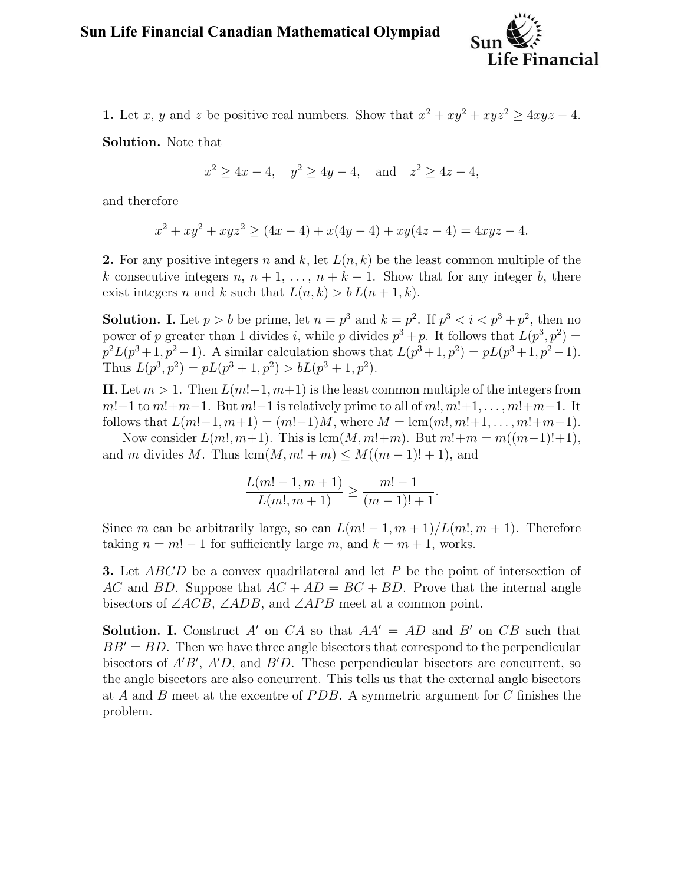

1. Let x, y and z be positive real numbers. Show that  $x^2 + xy^2 + xyz^2 \geq 4xyz - 4$ .

Solution. Note that

$$
x^2 \ge 4x - 4
$$
,  $y^2 \ge 4y - 4$ , and  $z^2 \ge 4z - 4$ ,

and therefore

$$
x^{2} + xy^{2} + xyz^{2} \ge (4x - 4) + x(4y - 4) + xy(4z - 4) = 4xyz - 4.
$$

2. For any positive integers n and k, let  $L(n, k)$  be the least common multiple of the k consecutive integers  $n, n+1, \ldots, n+k-1$ . Show that for any integer b, there exist integers n and k such that  $L(n, k) > b L(n + 1, k)$ .

**Solution.** I. Let  $p > b$  be prime, let  $n = p^3$  and  $k = p^2$ . If  $p^3 < i < p^3 + p^2$ , then no power of p greater than 1 divides i, while p divides  $p^3 + p$ . It follows that  $L(p^3, p^2) =$  $p^2L(p^3+1,p^2-1)$ . A similar calculation shows that  $L(p^3+1,p^2)=pL(p^3+1,p^2-1)$ . Thus  $L(p^3, p^2) = pL(p^3 + 1, p^2) > bL(p^3 + 1, p^2)$ .

II. Let  $m > 1$ . Then  $L(m! - 1, m+1)$  is the least common multiple of the integers from  $m!-1$  to  $m!+m-1$ . But  $m!-1$  is relatively prime to all of  $m!$ ,  $m!+1, \ldots, m!+m-1$ . It follows that  $L(m!-1, m+1) = (m!-1)M$ , where  $M = \text{lcm}(m!, m!+1, \ldots, m!+m-1)$ .

Now consider  $L(m! , m+1)$ . This is  $lcm(M, m!+m)$ . But  $m!+m = m((m-1)!+1)$ , and m divides M. Thus  $lcm(M, m! + m) \leq M((m - 1)! + 1)$ , and

$$
\frac{L(m!-1,m+1)}{L(m!,m+1)} \ge \frac{m!-1}{(m-1)!+1}.
$$

Since m can be arbitrarily large, so can  $L(m! - 1, m + 1)/L(m! , m + 1)$ . Therefore taking  $n = m! - 1$  for sufficiently large m, and  $k = m + 1$ , works.

**3.** Let ABCD be a convex quadrilateral and let P be the point of intersection of AC and BD. Suppose that  $AC + AD = BC + BD$ . Prove that the internal angle bisectors of  $\angle ACB$ ,  $\angle ADB$ , and  $\angle APB$  meet at a common point.

**Solution.** I. Construct A' on CA so that  $AA' = AD$  and B' on CB such that  $BB' = BD$ . Then we have three angle bisectors that correspond to the perpendicular bisectors of  $A'B'$ ,  $A'D$ , and  $B'D$ . These perpendicular bisectors are concurrent, so the angle bisectors are also concurrent. This tells us that the external angle bisectors at A and B meet at the excentre of  $PDB$ . A symmetric argument for C finishes the problem.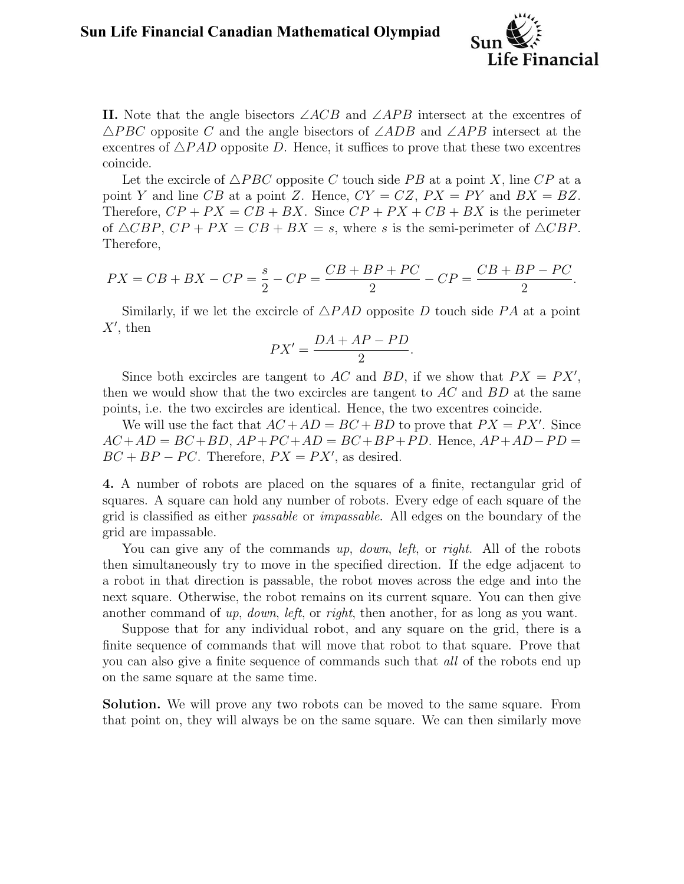

II. Note that the angle bisectors  $\angle ACB$  and  $\angle APB$  intersect at the excentres of  $\triangle PBC$  opposite C and the angle bisectors of  $\angle ADB$  and  $\angle APB$  intersect at the excentres of  $\triangle PAD$  opposite D. Hence, it suffices to prove that these two excentres coincide.

Let the excircle of  $\triangle PBC$  opposite C touch side PB at a point X, line CP at a point Y and line CB at a point Z. Hence,  $CY = CZ$ ,  $PX = PY$  and  $BX = BZ$ . Therefore,  $CP + PX = CB + BX$ . Since  $CP + PX + CB + BX$  is the perimeter of  $\triangle CBP$ ,  $CP + PX = CB + BX = s$ , where s is the semi-perimeter of  $\triangle CBP$ . Therefore,

$$
PX = CB + BX - CP = \frac{s}{2} - CP = \frac{CB + BP + PC}{2} - CP = \frac{CB + BP - PC}{2}.
$$

Similarly, if we let the excircle of  $\triangle PAD$  opposite D touch side PA at a point  $X'$ , then

$$
PX' = \frac{DA + AP - PD}{2}.
$$

Since both excircles are tangent to AC and BD, if we show that  $PX = PX'$ , then we would show that the two excircles are tangent to  $AC$  and  $BD$  at the same points, i.e. the two excircles are identical. Hence, the two excentres coincide.

We will use the fact that  $AC + AD = BC + BD$  to prove that  $PX = PX'$ . Since  $AC + AD = BC + BD$ ,  $AP + PC + AD = BC + BP + PD$ . Hence,  $AP + AD - PD =$  $BC + BP - PC$ . Therefore,  $PX = PX'$ , as desired.

4. A number of robots are placed on the squares of a finite, rectangular grid of squares. A square can hold any number of robots. Every edge of each square of the grid is classified as either passable or impassable. All edges on the boundary of the grid are impassable.

You can give any of the commands up, down, left, or right. All of the robots then simultaneously try to move in the specified direction. If the edge adjacent to a robot in that direction is passable, the robot moves across the edge and into the next square. Otherwise, the robot remains on its current square. You can then give another command of up, down, left, or right, then another, for as long as you want.

Suppose that for any individual robot, and any square on the grid, there is a finite sequence of commands that will move that robot to that square. Prove that you can also give a finite sequence of commands such that *all* of the robots end up on the same square at the same time.

Solution. We will prove any two robots can be moved to the same square. From that point on, they will always be on the same square. We can then similarly move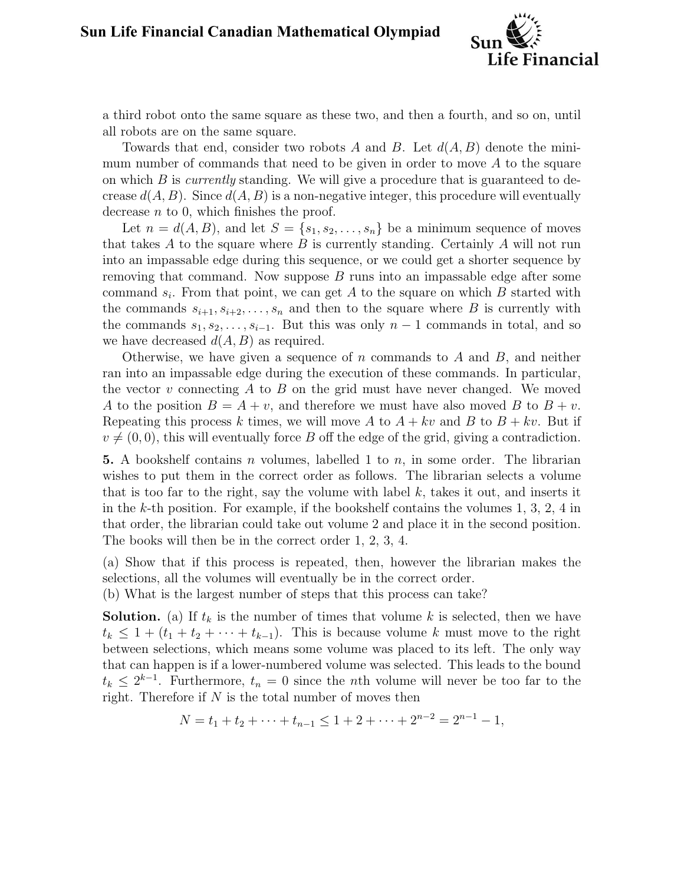

a third robot onto the same square as these two, and then a fourth, and so on, until all robots are on the same square.

Towards that end, consider two robots A and B. Let  $d(A, B)$  denote the minimum number of commands that need to be given in order to move  $A$  to the square on which  $B$  is *currently* standing. We will give a procedure that is guaranteed to decrease  $d(A, B)$ . Since  $d(A, B)$  is a non-negative integer, this procedure will eventually decrease  $n \text{ to } 0$ , which finishes the proof.

Let  $n = d(A, B)$ , and let  $S = \{s_1, s_2, \ldots, s_n\}$  be a minimum sequence of moves that takes  $A$  to the square where  $B$  is currently standing. Certainly  $A$  will not run into an impassable edge during this sequence, or we could get a shorter sequence by removing that command. Now suppose  $B$  runs into an impassable edge after some command  $s_i$ . From that point, we can get A to the square on which B started with the commands  $s_{i+1}, s_{i+2}, \ldots, s_n$  and then to the square where B is currently with the commands  $s_1, s_2, \ldots, s_{i-1}$ . But this was only  $n-1$  commands in total, and so we have decreased  $d(A, B)$  as required.

Otherwise, we have given a sequence of n commands to A and  $B$ , and neither ran into an impassable edge during the execution of these commands. In particular, the vector  $v$  connecting  $A$  to  $B$  on the grid must have never changed. We moved A to the position  $B = A + v$ , and therefore we must have also moved B to  $B + v$ . Repeating this process k times, we will move A to  $A + kv$  and B to  $B + kv$ . But if  $v \neq (0, 0)$ , this will eventually force B off the edge of the grid, giving a contradiction.

**5.** A bookshelf contains n volumes, labelled 1 to  $n$ , in some order. The librarian wishes to put them in the correct order as follows. The librarian selects a volume that is too far to the right, say the volume with label  $k$ , takes it out, and inserts it in the k-th position. For example, if the bookshelf contains the volumes  $1, 3, 2, 4$  in that order, the librarian could take out volume 2 and place it in the second position. The books will then be in the correct order 1, 2, 3, 4.

(a) Show that if this process is repeated, then, however the librarian makes the selections, all the volumes will eventually be in the correct order.

(b) What is the largest number of steps that this process can take?

**Solution.** (a) If  $t_k$  is the number of times that volume k is selected, then we have  $t_k \leq 1 + (t_1 + t_2 + \cdots + t_{k-1})$ . This is because volume k must move to the right between selections, which means some volume was placed to its left. The only way that can happen is if a lower-numbered volume was selected. This leads to the bound  $t_k \leq 2^{k-1}$ . Furthermore,  $t_n = 0$  since the *n*th volume will never be too far to the right. Therefore if  $N$  is the total number of moves then

$$
N = t_1 + t_2 + \dots + t_{n-1} \le 1 + 2 + \dots + 2^{n-2} = 2^{n-1} - 1,
$$